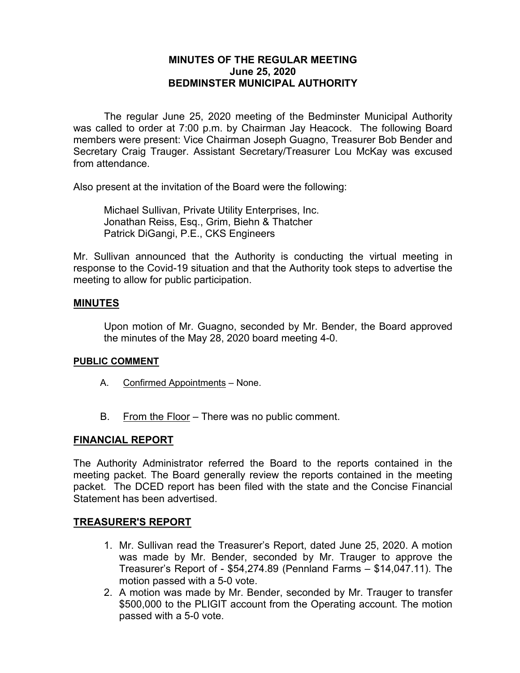## **MINUTES OF THE REGULAR MEETING June 25, 2020 BEDMINSTER MUNICIPAL AUTHORITY**

The regular June 25, 2020 meeting of the Bedminster Municipal Authority was called to order at 7:00 p.m. by Chairman Jay Heacock. The following Board members were present: Vice Chairman Joseph Guagno, Treasurer Bob Bender and Secretary Craig Trauger. Assistant Secretary/Treasurer Lou McKay was excused from attendance.

Also present at the invitation of the Board were the following:

Michael Sullivan, Private Utility Enterprises, Inc. Jonathan Reiss, Esq., Grim, Biehn & Thatcher Patrick DiGangi, P.E., CKS Engineers

Mr. Sullivan announced that the Authority is conducting the virtual meeting in response to the Covid-19 situation and that the Authority took steps to advertise the meeting to allow for public participation.

### **MINUTES**

Upon motion of Mr. Guagno, seconded by Mr. Bender, the Board approved the minutes of the May 28, 2020 board meeting 4-0.

### **PUBLIC COMMENT**

- A. Confirmed Appointments None.
- B. From the Floor There was no public comment.

### **FINANCIAL REPORT**

The Authority Administrator referred the Board to the reports contained in the meeting packet. The Board generally review the reports contained in the meeting packet. The DCED report has been filed with the state and the Concise Financial Statement has been advertised.

### **TREASURER'S REPORT**

- 1. Mr. Sullivan read the Treasurer's Report, dated June 25, 2020. A motion was made by Mr. Bender, seconded by Mr. Trauger to approve the Treasurer's Report of - \$54,274.89 (Pennland Farms – \$14,047.11). The motion passed with a 5-0 vote.
- 2. A motion was made by Mr. Bender, seconded by Mr. Trauger to transfer \$500,000 to the PLIGIT account from the Operating account. The motion passed with a 5-0 vote.